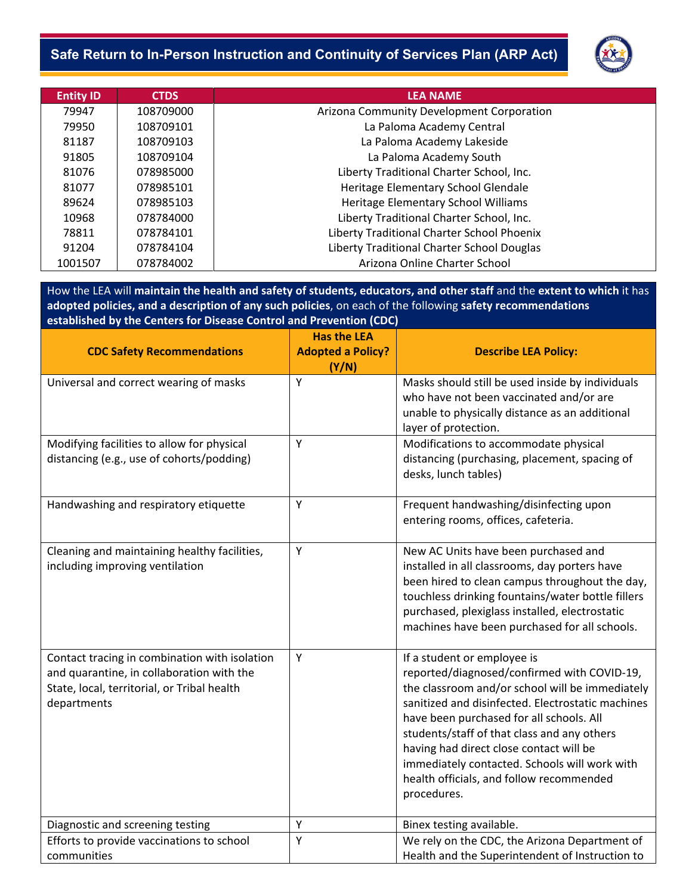## - **Safe Return to In-Person Instruction and Continuity of Services Plan (ARP Act)**



| <b>Entity ID</b> | <b>CTDS</b> | <b>LEA NAME</b>                            |
|------------------|-------------|--------------------------------------------|
| 79947            | 108709000   | Arizona Community Development Corporation  |
| 79950            | 108709101   | La Paloma Academy Central                  |
| 81187            | 108709103   | La Paloma Academy Lakeside                 |
| 91805            | 108709104   | La Paloma Academy South                    |
| 81076            | 078985000   | Liberty Traditional Charter School, Inc.   |
| 81077            | 078985101   | Heritage Elementary School Glendale        |
| 89624            | 078985103   | Heritage Elementary School Williams        |
| 10968            | 078784000   | Liberty Traditional Charter School, Inc.   |
| 78811            | 078784101   | Liberty Traditional Charter School Phoenix |
| 91204            | 078784104   | Liberty Traditional Charter School Douglas |
| 1001507          | 078784002   | Arizona Online Charter School              |

How the LEA will **maintain the health and safety of students, educators, and other staff** and the **extent to which** it has **adopted policies, and a description of any such policies**, on each of the following **safety recommendations established by the Centers for Disease Control and Prevention (CDC)**

| <b>CDC Safety Recommendations</b>                                                                                                                        | <b>Has the LEA</b><br><b>Adopted a Policy?</b> | <b>Describe LEA Policy:</b>                                                                                                                                                                                                                                                                                                                                                                                                          |
|----------------------------------------------------------------------------------------------------------------------------------------------------------|------------------------------------------------|--------------------------------------------------------------------------------------------------------------------------------------------------------------------------------------------------------------------------------------------------------------------------------------------------------------------------------------------------------------------------------------------------------------------------------------|
|                                                                                                                                                          | (Y/N)                                          |                                                                                                                                                                                                                                                                                                                                                                                                                                      |
| Universal and correct wearing of masks                                                                                                                   | Υ                                              | Masks should still be used inside by individuals<br>who have not been vaccinated and/or are<br>unable to physically distance as an additional<br>layer of protection.                                                                                                                                                                                                                                                                |
| Modifying facilities to allow for physical<br>distancing (e.g., use of cohorts/podding)                                                                  | Υ                                              | Modifications to accommodate physical<br>distancing (purchasing, placement, spacing of<br>desks, lunch tables)                                                                                                                                                                                                                                                                                                                       |
| Handwashing and respiratory etiquette                                                                                                                    | Υ                                              | Frequent handwashing/disinfecting upon<br>entering rooms, offices, cafeteria.                                                                                                                                                                                                                                                                                                                                                        |
| Cleaning and maintaining healthy facilities,<br>including improving ventilation                                                                          | Y                                              | New AC Units have been purchased and<br>installed in all classrooms, day porters have<br>been hired to clean campus throughout the day,<br>touchless drinking fountains/water bottle fillers<br>purchased, plexiglass installed, electrostatic<br>machines have been purchased for all schools.                                                                                                                                      |
| Contact tracing in combination with isolation<br>and quarantine, in collaboration with the<br>State, local, territorial, or Tribal health<br>departments | Y                                              | If a student or employee is<br>reported/diagnosed/confirmed with COVID-19,<br>the classroom and/or school will be immediately<br>sanitized and disinfected. Electrostatic machines<br>have been purchased for all schools. All<br>students/staff of that class and any others<br>having had direct close contact will be<br>immediately contacted. Schools will work with<br>health officials, and follow recommended<br>procedures. |
| Diagnostic and screening testing                                                                                                                         | Υ                                              | Binex testing available.                                                                                                                                                                                                                                                                                                                                                                                                             |
| Efforts to provide vaccinations to school<br>communities                                                                                                 | Y                                              | We rely on the CDC, the Arizona Department of<br>Health and the Superintendent of Instruction to                                                                                                                                                                                                                                                                                                                                     |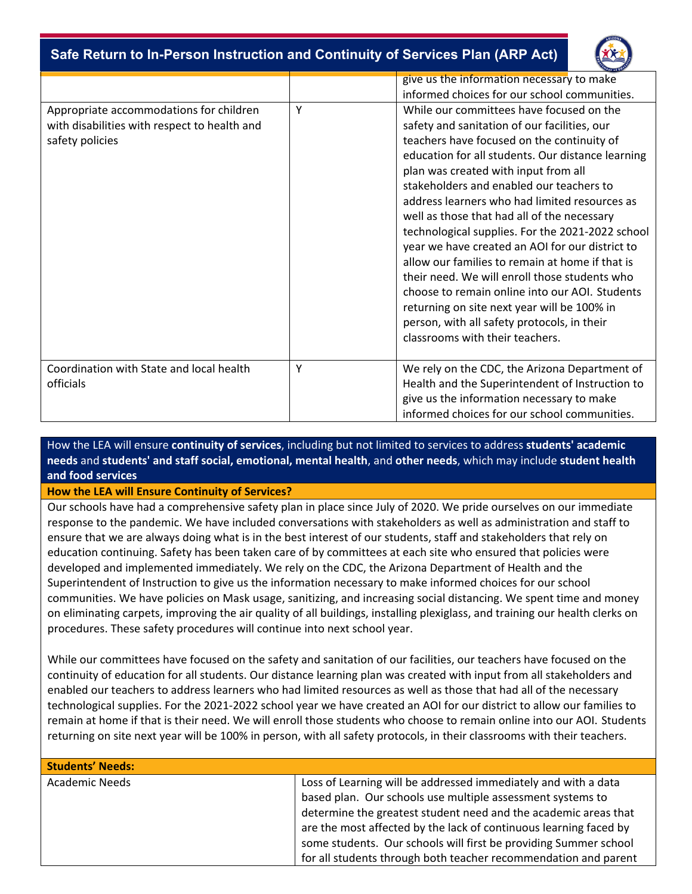## - **Safe Return to In-Person Instruction and Continuity of Services Plan (ARP Act)**



|                                                                                                            |   | give us the information necessary to make<br>informed choices for our school communities.                                                                                                                                                                                                                                                                                                                                                                                                                                                                                                                                                                                                                                                                                     |
|------------------------------------------------------------------------------------------------------------|---|-------------------------------------------------------------------------------------------------------------------------------------------------------------------------------------------------------------------------------------------------------------------------------------------------------------------------------------------------------------------------------------------------------------------------------------------------------------------------------------------------------------------------------------------------------------------------------------------------------------------------------------------------------------------------------------------------------------------------------------------------------------------------------|
| Appropriate accommodations for children<br>with disabilities with respect to health and<br>safety policies | Υ | While our committees have focused on the<br>safety and sanitation of our facilities, our<br>teachers have focused on the continuity of<br>education for all students. Our distance learning<br>plan was created with input from all<br>stakeholders and enabled our teachers to<br>address learners who had limited resources as<br>well as those that had all of the necessary<br>technological supplies. For the 2021-2022 school<br>year we have created an AOI for our district to<br>allow our families to remain at home if that is<br>their need. We will enroll those students who<br>choose to remain online into our AOI. Students<br>returning on site next year will be 100% in<br>person, with all safety protocols, in their<br>classrooms with their teachers. |
| Coordination with State and local health<br>officials                                                      | Υ | We rely on the CDC, the Arizona Department of<br>Health and the Superintendent of Instruction to<br>give us the information necessary to make<br>informed choices for our school communities.                                                                                                                                                                                                                                                                                                                                                                                                                                                                                                                                                                                 |

#### How the LEA will ensure **continuity of services**, including but not limited to services to address **students' academic needs** and **students' and staff social, emotional, mental health**, and **other needs**, which may include **student health and food services**

#### **How the LEA will Ensure Continuity of Services?**

Our schools have had a comprehensive safety plan in place since July of 2020. We pride ourselves on our immediate response to the pandemic. We have included conversations with stakeholders as well as administration and staff to ensure that we are always doing what is in the best interest of our students, staff and stakeholders that rely on education continuing. Safety has been taken care of by committees at each site who ensured that policies were developed and implemented immediately. We rely on the CDC, the Arizona Department of Health and the Superintendent of Instruction to give us the information necessary to make informed choices for our school communities. We have policies on Mask usage, sanitizing, and increasing social distancing. We spent time and money on eliminating carpets, improving the air quality of all buildings, installing plexiglass, and training our health clerks on procedures. These safety procedures will continue into next school year.

While our committees have focused on the safety and sanitation of our facilities, our teachers have focused on the continuity of education for all students. Our distance learning plan was created with input from all stakeholders and enabled our teachers to address learners who had limited resources as well as those that had all of the necessary technological supplies. For the 2021-2022 school year we have created an AOI for our district to allow our families to remain at home if that is their need. We will enroll those students who choose to remain online into our AOI. Students returning on site next year will be 100% in person, with all safety protocols, in their classrooms with their teachers.

| <b>Students' Needs:</b> |                                                                                                                                                                                                                                                                                                                                                                                                             |
|-------------------------|-------------------------------------------------------------------------------------------------------------------------------------------------------------------------------------------------------------------------------------------------------------------------------------------------------------------------------------------------------------------------------------------------------------|
| <b>Academic Needs</b>   | Loss of Learning will be addressed immediately and with a data<br>based plan. Our schools use multiple assessment systems to<br>determine the greatest student need and the academic areas that<br>are the most affected by the lack of continuous learning faced by<br>some students. Our schools will first be providing Summer school<br>for all students through both teacher recommendation and parent |
|                         |                                                                                                                                                                                                                                                                                                                                                                                                             |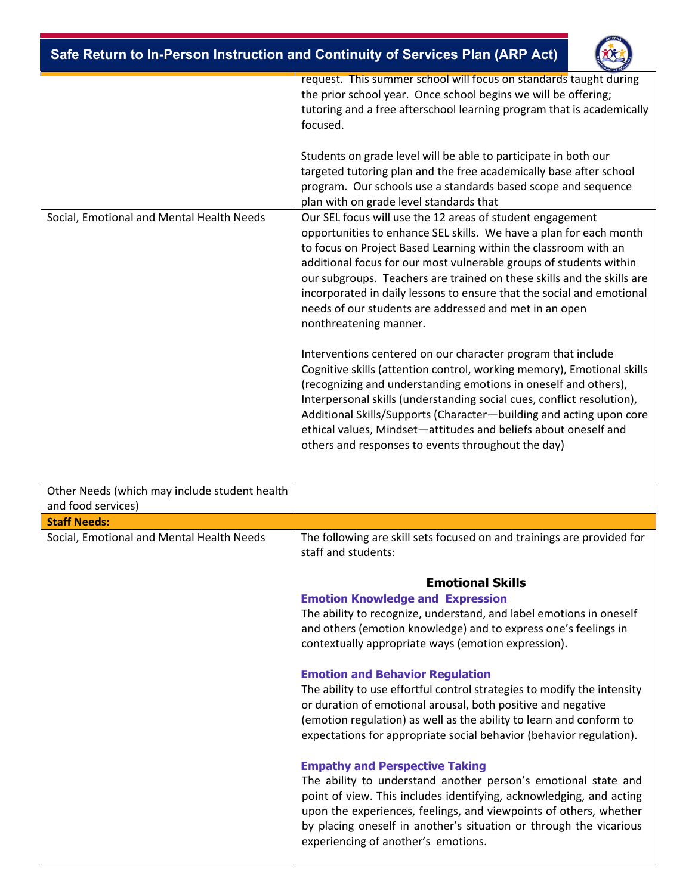|                                               | Safe Return to In-Person Instruction and Continuity of Services Plan (ARP Act)                                                                                                                                                                                                                                                                                                                                                                                                                                                                                                                                                                                                                                                                                                                                                                                                                                                                                                                         |
|-----------------------------------------------|--------------------------------------------------------------------------------------------------------------------------------------------------------------------------------------------------------------------------------------------------------------------------------------------------------------------------------------------------------------------------------------------------------------------------------------------------------------------------------------------------------------------------------------------------------------------------------------------------------------------------------------------------------------------------------------------------------------------------------------------------------------------------------------------------------------------------------------------------------------------------------------------------------------------------------------------------------------------------------------------------------|
|                                               | request. This summer school will focus on standards taught during<br>the prior school year. Once school begins we will be offering;<br>tutoring and a free afterschool learning program that is academically<br>focused.                                                                                                                                                                                                                                                                                                                                                                                                                                                                                                                                                                                                                                                                                                                                                                               |
|                                               | Students on grade level will be able to participate in both our<br>targeted tutoring plan and the free academically base after school<br>program. Our schools use a standards based scope and sequence<br>plan with on grade level standards that                                                                                                                                                                                                                                                                                                                                                                                                                                                                                                                                                                                                                                                                                                                                                      |
| Social, Emotional and Mental Health Needs     | Our SEL focus will use the 12 areas of student engagement<br>opportunities to enhance SEL skills. We have a plan for each month<br>to focus on Project Based Learning within the classroom with an<br>additional focus for our most vulnerable groups of students within<br>our subgroups. Teachers are trained on these skills and the skills are<br>incorporated in daily lessons to ensure that the social and emotional<br>needs of our students are addressed and met in an open<br>nonthreatening manner.<br>Interventions centered on our character program that include<br>Cognitive skills (attention control, working memory), Emotional skills<br>(recognizing and understanding emotions in oneself and others),<br>Interpersonal skills (understanding social cues, conflict resolution),<br>Additional Skills/Supports (Character-building and acting upon core<br>ethical values, Mindset-attitudes and beliefs about oneself and<br>others and responses to events throughout the day) |
| Other Needs (which may include student health |                                                                                                                                                                                                                                                                                                                                                                                                                                                                                                                                                                                                                                                                                                                                                                                                                                                                                                                                                                                                        |
| and food services)<br><b>Staff Needs:</b>     |                                                                                                                                                                                                                                                                                                                                                                                                                                                                                                                                                                                                                                                                                                                                                                                                                                                                                                                                                                                                        |
| Social, Emotional and Mental Health Needs     | The following are skill sets focused on and trainings are provided for<br>staff and students:                                                                                                                                                                                                                                                                                                                                                                                                                                                                                                                                                                                                                                                                                                                                                                                                                                                                                                          |
|                                               | <b>Emotional Skills</b><br><b>Emotion Knowledge and Expression</b><br>The ability to recognize, understand, and label emotions in oneself<br>and others (emotion knowledge) and to express one's feelings in<br>contextually appropriate ways (emotion expression).                                                                                                                                                                                                                                                                                                                                                                                                                                                                                                                                                                                                                                                                                                                                    |
|                                               | <b>Emotion and Behavior Regulation</b><br>The ability to use effortful control strategies to modify the intensity<br>or duration of emotional arousal, both positive and negative<br>(emotion regulation) as well as the ability to learn and conform to<br>expectations for appropriate social behavior (behavior regulation).                                                                                                                                                                                                                                                                                                                                                                                                                                                                                                                                                                                                                                                                        |
|                                               | <b>Empathy and Perspective Taking</b><br>The ability to understand another person's emotional state and<br>point of view. This includes identifying, acknowledging, and acting<br>upon the experiences, feelings, and viewpoints of others, whether<br>by placing oneself in another's situation or through the vicarious<br>experiencing of another's emotions.                                                                                                                                                                                                                                                                                                                                                                                                                                                                                                                                                                                                                                       |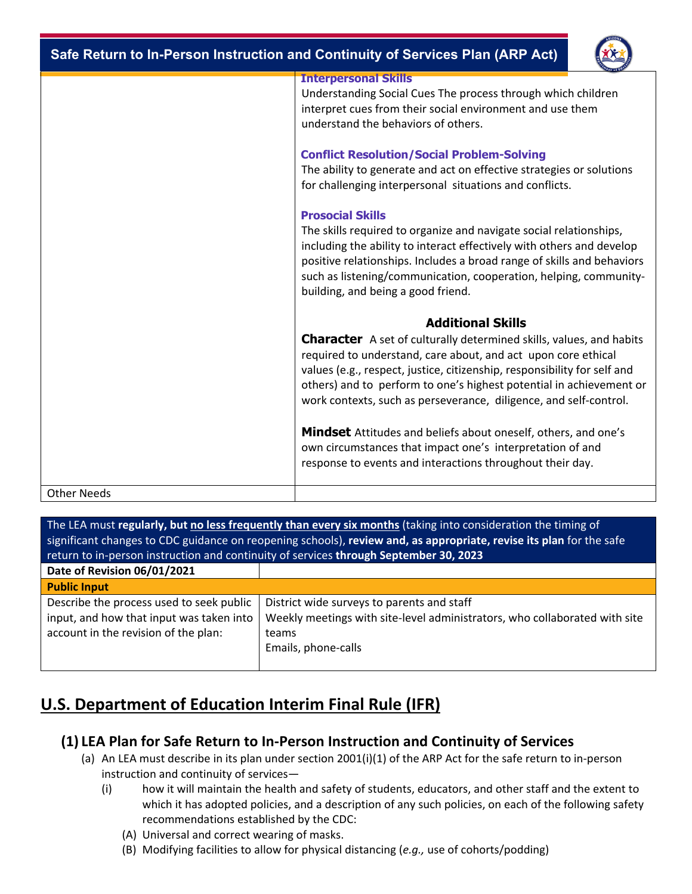| Safe Return to In-Person Instruction and Continuity of Services Plan (ARP Act) |  |
|--------------------------------------------------------------------------------|--|
|                                                                                |  |



|                    | <b>Interpersonal Skills</b><br>Understanding Social Cues The process through which children<br>interpret cues from their social environment and use them<br>understand the behaviors of others.                                                                                                                                                                     |  |
|--------------------|---------------------------------------------------------------------------------------------------------------------------------------------------------------------------------------------------------------------------------------------------------------------------------------------------------------------------------------------------------------------|--|
|                    | <b>Conflict Resolution/Social Problem-Solving</b><br>The ability to generate and act on effective strategies or solutions<br>for challenging interpersonal situations and conflicts.                                                                                                                                                                                |  |
|                    | <b>Prosocial Skills</b><br>The skills required to organize and navigate social relationships,<br>including the ability to interact effectively with others and develop<br>positive relationships. Includes a broad range of skills and behaviors<br>such as listening/communication, cooperation, helping, community-<br>building, and being a good friend.         |  |
|                    | <b>Additional Skills</b>                                                                                                                                                                                                                                                                                                                                            |  |
|                    | <b>Character</b> A set of culturally determined skills, values, and habits<br>required to understand, care about, and act upon core ethical<br>values (e.g., respect, justice, citizenship, responsibility for self and<br>others) and to perform to one's highest potential in achievement or<br>work contexts, such as perseverance, diligence, and self-control. |  |
|                    | <b>Mindset</b> Attitudes and beliefs about oneself, others, and one's<br>own circumstances that impact one's interpretation of and<br>response to events and interactions throughout their day.                                                                                                                                                                     |  |
| <b>Other Needs</b> |                                                                                                                                                                                                                                                                                                                                                                     |  |
|                    |                                                                                                                                                                                                                                                                                                                                                                     |  |

| The LEA must regularly, but no less frequently than every six months (taking into consideration the timing of<br>significant changes to CDC guidance on reopening schools), review and, as appropriate, revise its plan for the safe<br>return to in-person instruction and continuity of services through September 30, 2023 |                                                                                                                                                          |  |
|-------------------------------------------------------------------------------------------------------------------------------------------------------------------------------------------------------------------------------------------------------------------------------------------------------------------------------|----------------------------------------------------------------------------------------------------------------------------------------------------------|--|
| Date of Revision 06/01/2021                                                                                                                                                                                                                                                                                                   |                                                                                                                                                          |  |
| <b>Public Input</b>                                                                                                                                                                                                                                                                                                           |                                                                                                                                                          |  |
| Describe the process used to seek public<br>input, and how that input was taken into<br>account in the revision of the plan:                                                                                                                                                                                                  | District wide surveys to parents and staff<br>Weekly meetings with site-level administrators, who collaborated with site<br>teams<br>Emails, phone-calls |  |

# **U.S. Department of Education Interim Final Rule (IFR)**

## **(1) LEA Plan for Safe Return to In-Person Instruction and Continuity of Services**

- (a) An LEA must describe in its plan under section 2001(i)(1) of the ARP Act for the safe return to in-person instruction and continuity of services—
	- (i) how it will maintain the health and safety of students, educators, and other staff and the extent to which it has adopted policies, and a description of any such policies, on each of the following safety recommendations established by the CDC:
		- (A) Universal and correct wearing of masks.
		- (B) Modifying facilities to allow for physical distancing (*e.g.,* use of cohorts/podding)